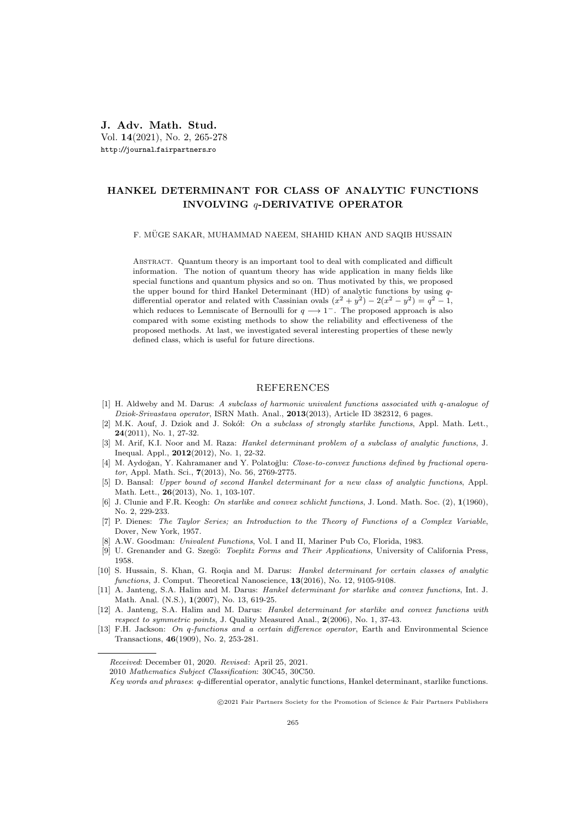## HANKEL DETERMINANT FOR CLASS OF ANALYTIC FUNCTIONS INVOLVING q-DERIVATIVE OPERATOR

## F. MUGE SAKAR, MUHAMMAD NAEEM, SHAHID KHAN AND SAQIB HUSSAIN ¨

ABSTRACT. Quantum theory is an important tool to deal with complicated and difficult information. The notion of quantum theory has wide application in many fields like special functions and quantum physics and so on. Thus motivated by this, we proposed the upper bound for third Hankel Determinant (HD) of analytic functions by using qdifferential operator and related with Cassinian ovals  $(x^2 + y^2) - 2(x^2 - y^2) = q^2 - 1$ , which reduces to Lemniscate of Bernoulli for  $q \rightarrow 1^-$ . The proposed approach is also compared with some existing methods to show the reliability and effectiveness of the proposed methods. At last, we investigated several interesting properties of these newly defined class, which is useful for future directions.

## REFERENCES

- [1] H. Aldweby and M. Darus: A subclass of harmonic univalent functions associated with q-analogue of Dziok-Srivastava operator, ISRN Math. Anal., 2013(2013), Article ID 382312, 6 pages.
- [2] M.K. Aouf, J. Dziok and J. Sokół: On a subclass of strongly starlike functions, Appl. Math. Lett., 24(2011), No. 1, 27-32.
- [3] M. Arif, K.I. Noor and M. Raza: Hankel determinant problem of a subclass of analytic functions, J. Inequal. Appl., 2012(2012), No. 1, 22-32.
- [4] M. Aydoğan, Y. Kahramaner and Y. Polatoğlu: Close-to-convex functions defined by fractional operator, Appl. Math. Sci., 7(2013), No. 56, 2769-2775.
- [5] D. Bansal: Upper bound of second Hankel determinant for a new class of analytic functions, Appl. Math. Lett., 26(2013), No. 1, 103-107.
- [6] J. Clunie and F.R. Keogh: On starlike and convex schlicht functions, J. Lond. Math. Soc. (2), 1(1960), No. 2, 229-233.
- [7] P. Dienes: The Taylor Series; an Introduction to the Theory of Functions of a Complex Variable, Dover, New York, 1957.
- [8] A.W. Goodman: Univalent Functions, Vol. I and II, Mariner Pub Co, Florida, 1983.
- [9] U. Grenander and G. Szegö: *Toeplitz Forms and Their Applications*, University of California Press, 1958.
- [10] S. Hussain, S. Khan, G. Roqia and M. Darus: Hankel determinant for certain classes of analytic functions, J. Comput. Theoretical Nanoscience, 13(2016), No. 12, 9105-9108.
- [11] A. Janteng, S.A. Halim and M. Darus: Hankel determinant for starlike and convex functions, Int. J. Math. Anal. (N.S.), 1(2007), No. 13, 619-25.
- [12] A. Janteng, S.A. Halim and M. Darus: Hankel determinant for starlike and convex functions with respect to symmetric points, J. Quality Measured Anal., 2(2006), No. 1, 37-43.
- [13] F.H. Jackson: On q-functions and a certain difference operator, Earth and Environmental Science Transactions, 46(1909), No. 2, 253-281.

c 2021 Fair Partners Society for the Promotion of Science & Fair Partners Publishers

Received: December 01, 2020. Revised: April 25, 2021.

<sup>2010</sup> Mathematics Subject Classification: 30C45, 30C50.

Key words and phrases: q-differential operator, analytic functions, Hankel determinant, starlike functions.